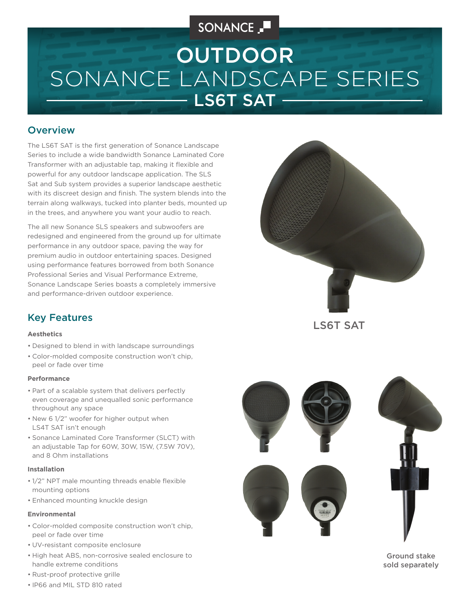## SONANCE

# SONANCE LANDSCAPE SERIES LS6T SAT -OUTDOOR

### **Overview**

The LS6T SAT is the first generation of Sonance Landscape Series to include a wide bandwidth Sonance Laminated Core Transformer with an adjustable tap, making it flexible and powerful for any outdoor landscape application. The SLS Sat and Sub system provides a superior landscape aesthetic with its discreet design and finish. The system blends into the terrain along walkways, tucked into planter beds, mounted up in the trees, and anywhere you want your audio to reach.

The all new Sonance SLS speakers and subwoofers are redesigned and engineered from the ground up for ultimate performance in any outdoor space, paving the way for premium audio in outdoor entertaining spaces. Designed using performance features borrowed from both Sonance Professional Series and Visual Performance Extreme, Sonance Landscape Series boasts a completely immersive and performance-driven outdoor experience.



Key Features

#### **Aesthetics**

- Designed to blend in with landscape surroundings
- Color-molded composite construction won't chip, peel or fade over time

#### **Performance**

- Part of a scalable system that delivers perfectly even coverage and unequalled sonic performance throughout any space
- New 6 1/2" woofer for higher output when LS4T SAT isn't enough
- Sonance Laminated Core Transformer (SLCT) with an adjustable Tap for 60W, 30W, 15W, (7.5W 70V), and 8 Ohm installations

#### **Installation**

- 1/2" NPT male mounting threads enable flexible mounting options
- Enhanced mounting knuckle design

#### **Environmental**

- Color-molded composite construction won't chip, peel or fade over time
- UV-resistant composite enclosure
- High heat ABS, non-corrosive sealed enclosure to handle extreme conditions
- Rust-proof protective grille
- IP66 and MIL STD 810 rated





Ground stake sold separately